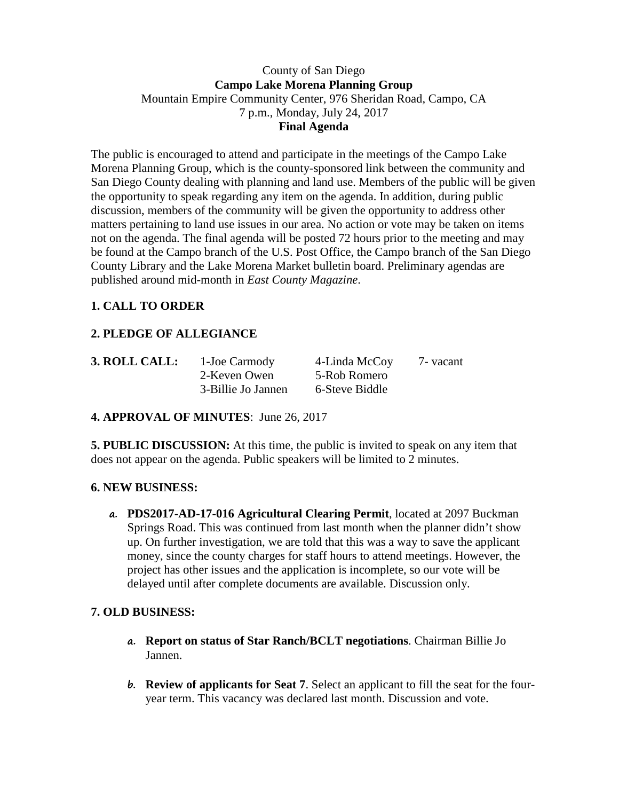#### County of San Diego **Campo Lake Morena Planning Group** Mountain Empire Community Center, 976 Sheridan Road, Campo, CA 7 p.m., Monday, July 24, 2017 **Final Agenda**

The public is encouraged to attend and participate in the meetings of the Campo Lake Morena Planning Group, which is the county-sponsored link between the community and San Diego County dealing with planning and land use. Members of the public will be given the opportunity to speak regarding any item on the agenda. In addition, during public discussion, members of the community will be given the opportunity to address other matters pertaining to land use issues in our area. No action or vote may be taken on items not on the agenda. The final agenda will be posted 72 hours prior to the meeting and may be found at the Campo branch of the U.S. Post Office, the Campo branch of the San Diego County Library and the Lake Morena Market bulletin board. Preliminary agendas are published around mid-month in *East County Magazine*.

# **1. CALL TO ORDER**

# **2. PLEDGE OF ALLEGIANCE**

| 3. ROLL CALL: | 1-Joe Carmody      | 4-Linda McCoy  | 7 - vacant |
|---------------|--------------------|----------------|------------|
|               | 2-Keven Owen       | 5-Rob Romero   |            |
|               | 3-Billie Jo Jannen | 6-Steve Biddle |            |

#### **4. APPROVAL OF MINUTES**: June 26, 2017

**5. PUBLIC DISCUSSION:** At this time, the public is invited to speak on any item that does not appear on the agenda. Public speakers will be limited to 2 minutes.

#### **6. NEW BUSINESS:**

**a. PDS2017-AD-17-016 Agricultural Clearing Permit**, located at 2097 Buckman Springs Road. This was continued from last month when the planner didn't show up. On further investigation, we are told that this was a way to save the applicant money, since the county charges for staff hours to attend meetings. However, the project has other issues and the application is incomplete, so our vote will be delayed until after complete documents are available. Discussion only.

### **7. OLD BUSINESS:**

- **a. Report on status of Star Ranch/BCLT negotiations**. Chairman Billie Jo Jannen.
- **b. Review of applicants for Seat 7**. Select an applicant to fill the seat for the fouryear term. This vacancy was declared last month. Discussion and vote.